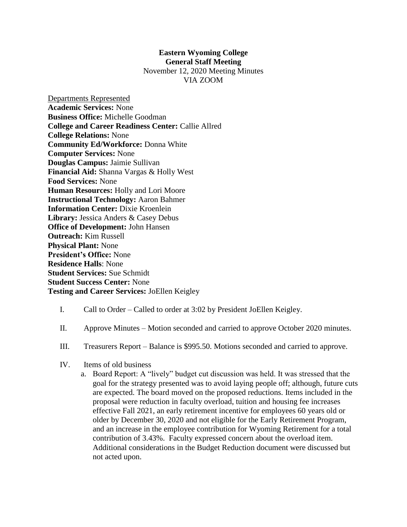## **Eastern Wyoming College General Staff Meeting** November 12, 2020 Meeting Minutes

VIA ZOOM

Departments Represented **Academic Services:** None **Business Office:** Michelle Goodman **College and Career Readiness Center:** Callie Allred **College Relations:** None **Community Ed/Workforce:** Donna White **Computer Services:** None **Douglas Campus:** Jaimie Sullivan **Financial Aid:** Shanna Vargas & Holly West **Food Services:** None **Human Resources:** Holly and Lori Moore **Instructional Technology:** Aaron Bahmer **Information Center:** Dixie Kroenlein **Library:** Jessica Anders & Casey Debus **Office of Development:** John Hansen **Outreach:** Kim Russell **Physical Plant:** None **President's Office:** None **Residence Halls**: None **Student Services:** Sue Schmidt **Student Success Center:** None **Testing and Career Services:** JoEllen Keigley

## I. Call to Order – Called to order at 3:02 by President JoEllen Keigley.

- II. Approve Minutes Motion seconded and carried to approve October 2020 minutes.
- III. Treasurers Report Balance is \$995.50. Motions seconded and carried to approve.
- IV. Items of old business
	- a. Board Report: A "lively" budget cut discussion was held. It was stressed that the goal for the strategy presented was to avoid laying people off; although, future cuts are expected. The board moved on the proposed reductions. Items included in the proposal were reduction in faculty overload, tuition and housing fee increases effective Fall 2021, an early retirement incentive for employees 60 years old or older by December 30, 2020 and not eligible for the Early Retirement Program, and an increase in the employee contribution for Wyoming Retirement for a total contribution of 3.43%. Faculty expressed concern about the overload item. Additional considerations in the Budget Reduction document were discussed but not acted upon.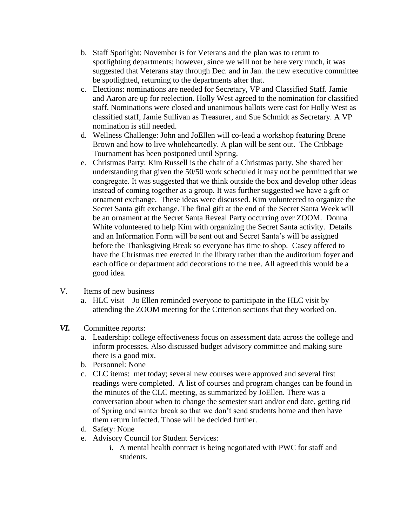- b. Staff Spotlight: November is for Veterans and the plan was to return to spotlighting departments; however, since we will not be here very much, it was suggested that Veterans stay through Dec. and in Jan. the new executive committee be spotlighted, returning to the departments after that.
- c. Elections: nominations are needed for Secretary, VP and Classified Staff. Jamie and Aaron are up for reelection. Holly West agreed to the nomination for classified staff. Nominations were closed and unanimous ballots were cast for Holly West as classified staff, Jamie Sullivan as Treasurer, and Sue Schmidt as Secretary. A VP nomination is still needed.
- d. Wellness Challenge: John and JoEllen will co-lead a workshop featuring Brene Brown and how to live wholeheartedly. A plan will be sent out. The Cribbage Tournament has been postponed until Spring.
- e. Christmas Party: Kim Russell is the chair of a Christmas party. She shared her understanding that given the 50/50 work scheduled it may not be permitted that we congregate. It was suggested that we think outside the box and develop other ideas instead of coming together as a group. It was further suggested we have a gift or ornament exchange. These ideas were discussed. Kim volunteered to organize the Secret Santa gift exchange. The final gift at the end of the Secret Santa Week will be an ornament at the Secret Santa Reveal Party occurring over ZOOM. Donna White volunteered to help Kim with organizing the Secret Santa activity. Details and an Information Form will be sent out and Secret Santa's will be assigned before the Thanksgiving Break so everyone has time to shop. Casey offered to have the Christmas tree erected in the library rather than the auditorium foyer and each office or department add decorations to the tree. All agreed this would be a good idea.
- V. Items of new business
	- a. HLC visit Jo Ellen reminded everyone to participate in the HLC visit by attending the ZOOM meeting for the Criterion sections that they worked on.

## *VI.* Committee reports:

- a. Leadership: college effectiveness focus on assessment data across the college and inform processes. Also discussed budget advisory committee and making sure there is a good mix.
- b. Personnel: None
- c. CLC items: met today; several new courses were approved and several first readings were completed. A list of courses and program changes can be found in the minutes of the CLC meeting, as summarized by JoEllen. There was a conversation about when to change the semester start and/or end date, getting rid of Spring and winter break so that we don't send students home and then have them return infected. Those will be decided further.
- d. Safety: None
- e. Advisory Council for Student Services:
	- i. A mental health contract is being negotiated with PWC for staff and students.